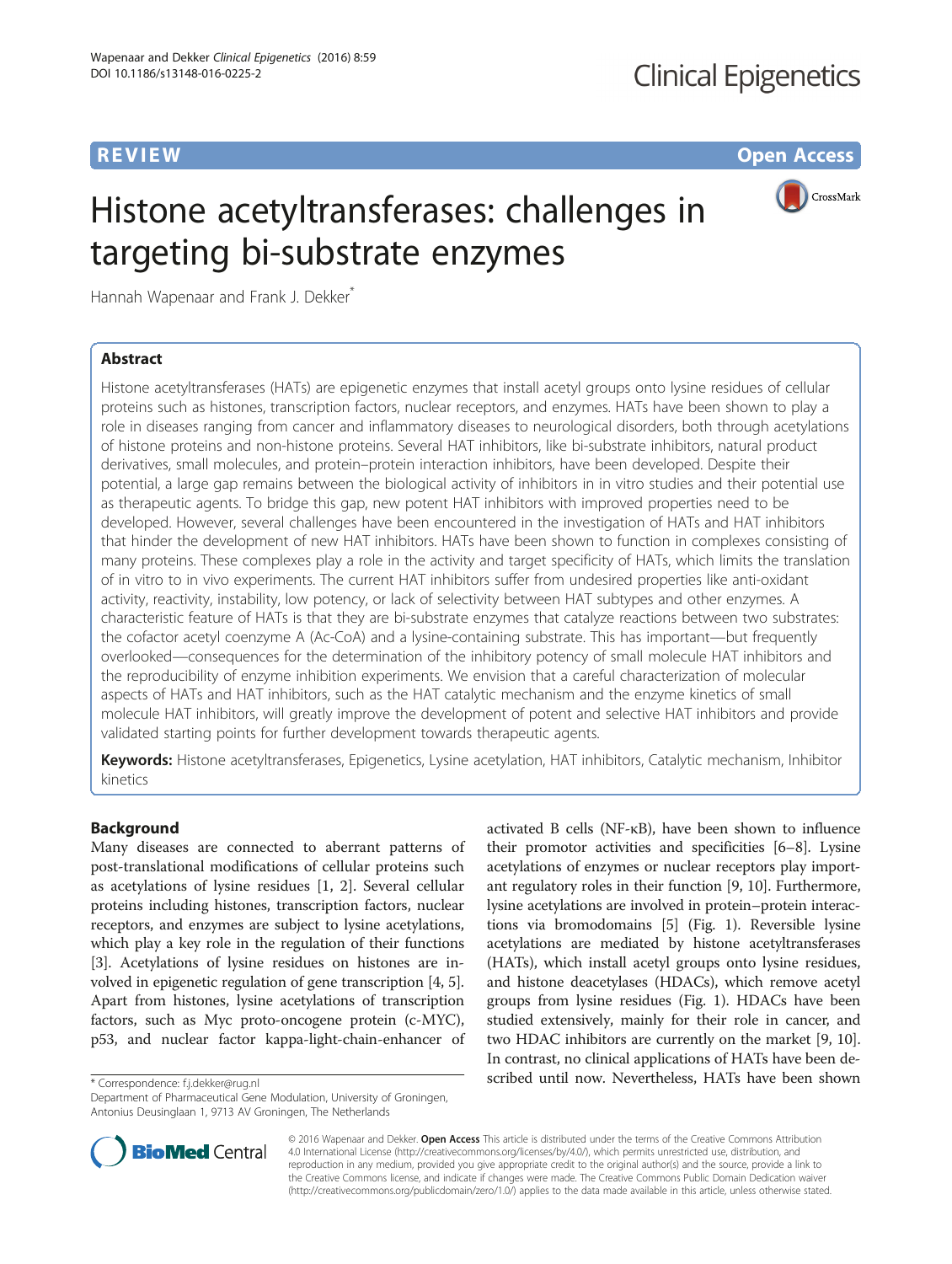**REVIEW CONSTRUCTION CONSTRUCTION CONSTRUCTS** 

# Histone acetyltransferases: challenges in targeting bi-substrate enzymes



Hannah Wapenaar and Frank J. Dekker\*

# Abstract

Histone acetyltransferases (HATs) are epigenetic enzymes that install acetyl groups onto lysine residues of cellular proteins such as histones, transcription factors, nuclear receptors, and enzymes. HATs have been shown to play a role in diseases ranging from cancer and inflammatory diseases to neurological disorders, both through acetylations of histone proteins and non-histone proteins. Several HAT inhibitors, like bi-substrate inhibitors, natural product derivatives, small molecules, and protein–protein interaction inhibitors, have been developed. Despite their potential, a large gap remains between the biological activity of inhibitors in in vitro studies and their potential use as therapeutic agents. To bridge this gap, new potent HAT inhibitors with improved properties need to be developed. However, several challenges have been encountered in the investigation of HATs and HAT inhibitors that hinder the development of new HAT inhibitors. HATs have been shown to function in complexes consisting of many proteins. These complexes play a role in the activity and target specificity of HATs, which limits the translation of in vitro to in vivo experiments. The current HAT inhibitors suffer from undesired properties like anti-oxidant activity, reactivity, instability, low potency, or lack of selectivity between HAT subtypes and other enzymes. A characteristic feature of HATs is that they are bi-substrate enzymes that catalyze reactions between two substrates: the cofactor acetyl coenzyme A (Ac-CoA) and a lysine-containing substrate. This has important—but frequently overlooked—consequences for the determination of the inhibitory potency of small molecule HAT inhibitors and the reproducibility of enzyme inhibition experiments. We envision that a careful characterization of molecular aspects of HATs and HAT inhibitors, such as the HAT catalytic mechanism and the enzyme kinetics of small molecule HAT inhibitors, will greatly improve the development of potent and selective HAT inhibitors and provide validated starting points for further development towards therapeutic agents.

Keywords: Histone acetyltransferases, Epigenetics, Lysine acetylation, HAT inhibitors, Catalytic mechanism, Inhibitor kinetics

# Background

Many diseases are connected to aberrant patterns of post-translational modifications of cellular proteins such as acetylations of lysine residues [[1](#page-8-0), [2\]](#page-8-0). Several cellular proteins including histones, transcription factors, nuclear receptors, and enzymes are subject to lysine acetylations, which play a key role in the regulation of their functions [[3\]](#page-8-0). Acetylations of lysine residues on histones are involved in epigenetic regulation of gene transcription [[4, 5](#page-8-0)]. Apart from histones, lysine acetylations of transcription factors, such as Myc proto-oncogene protein (c-MYC), p53, and nuclear factor kappa-light-chain-enhancer of

Department of Pharmaceutical Gene Modulation, University of Groningen, Antonius Deusinglaan 1, 9713 AV Groningen, The Netherlands

activated B cells (NF-κB), have been shown to influence their promotor activities and specificities [\[6](#page-8-0)–[8](#page-8-0)]. Lysine acetylations of enzymes or nuclear receptors play important regulatory roles in their function [[9, 10](#page-9-0)]. Furthermore, lysine acetylations are involved in protein–protein interactions via bromodomains [[5\]](#page-8-0) (Fig. [1](#page-1-0)). Reversible lysine acetylations are mediated by histone acetyltransferases (HATs), which install acetyl groups onto lysine residues, and histone deacetylases (HDACs), which remove acetyl groups from lysine residues (Fig. [1](#page-1-0)). HDACs have been studied extensively, mainly for their role in cancer, and two HDAC inhibitors are currently on the market [[9, 10](#page-9-0)]. In contrast, no clinical applications of HATs have been de\*Correspondence: [f.j.dekker@rug.nl](mailto:f.j.dekker@rug.nl) scribed until now. Nevertheless, HATs have been shown



© 2016 Wapenaar and Dekker. Open Access This article is distributed under the terms of the Creative Commons Attribution 4.0 International License ([http://creativecommons.org/licenses/by/4.0/\)](http://creativecommons.org/licenses/by/4.0/), which permits unrestricted use, distribution, and reproduction in any medium, provided you give appropriate credit to the original author(s) and the source, provide a link to the Creative Commons license, and indicate if changes were made. The Creative Commons Public Domain Dedication waiver [\(http://creativecommons.org/publicdomain/zero/1.0/](http://creativecommons.org/publicdomain/zero/1.0/)) applies to the data made available in this article, unless otherwise stated.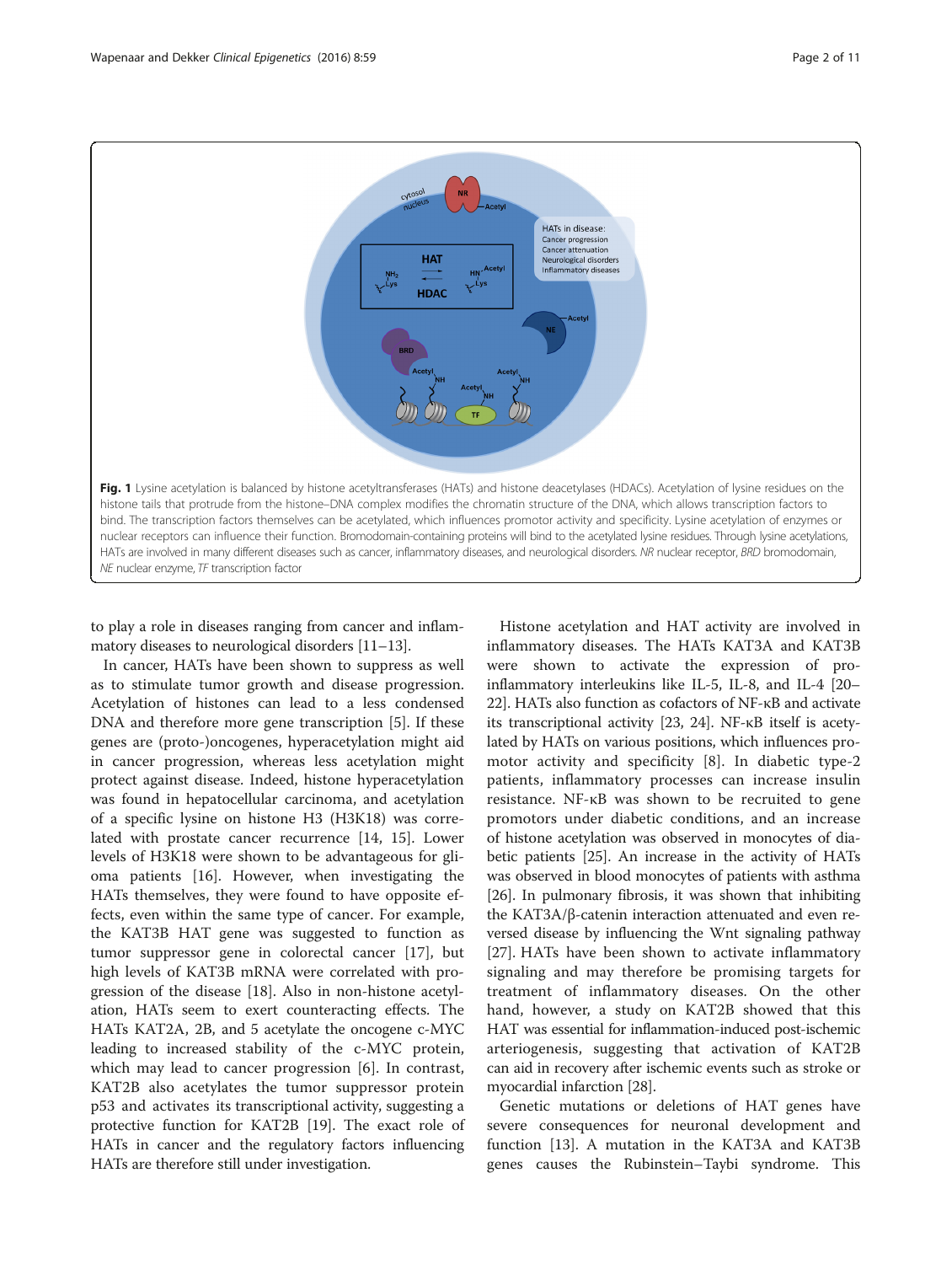<span id="page-1-0"></span>

to play a role in diseases ranging from cancer and inflammatory diseases to neurological disorders [\[11](#page-9-0)–[13](#page-9-0)].

In cancer, HATs have been shown to suppress as well as to stimulate tumor growth and disease progression. Acetylation of histones can lead to a less condensed DNA and therefore more gene transcription [\[5](#page-8-0)]. If these genes are (proto-)oncogenes, hyperacetylation might aid in cancer progression, whereas less acetylation might protect against disease. Indeed, histone hyperacetylation was found in hepatocellular carcinoma, and acetylation of a specific lysine on histone H3 (H3K18) was correlated with prostate cancer recurrence [\[14](#page-9-0), [15](#page-9-0)]. Lower levels of H3K18 were shown to be advantageous for glioma patients [[16](#page-9-0)]. However, when investigating the HATs themselves, they were found to have opposite effects, even within the same type of cancer. For example, the KAT3B HAT gene was suggested to function as tumor suppressor gene in colorectal cancer [\[17](#page-9-0)], but high levels of KAT3B mRNA were correlated with progression of the disease [[18\]](#page-9-0). Also in non-histone acetylation, HATs seem to exert counteracting effects. The HATs KAT2A, 2B, and 5 acetylate the oncogene c-MYC leading to increased stability of the c-MYC protein, which may lead to cancer progression [[6](#page-8-0)]. In contrast, KAT2B also acetylates the tumor suppressor protein p53 and activates its transcriptional activity, suggesting a protective function for KAT2B [\[19\]](#page-9-0). The exact role of HATs in cancer and the regulatory factors influencing HATs are therefore still under investigation.

Histone acetylation and HAT activity are involved in inflammatory diseases. The HATs KAT3A and KAT3B were shown to activate the expression of proinflammatory interleukins like IL-5, IL-8, and IL-4 [\[20](#page-9-0)– [22](#page-9-0)]. HATs also function as cofactors of NF-κB and activate its transcriptional activity [\[23, 24\]](#page-9-0). NF-κB itself is acetylated by HATs on various positions, which influences promotor activity and specificity [\[8](#page-8-0)]. In diabetic type-2 patients, inflammatory processes can increase insulin resistance. NF-κB was shown to be recruited to gene promotors under diabetic conditions, and an increase of histone acetylation was observed in monocytes of diabetic patients [[25](#page-9-0)]. An increase in the activity of HATs was observed in blood monocytes of patients with asthma [[26](#page-9-0)]. In pulmonary fibrosis, it was shown that inhibiting the KAT3A/β-catenin interaction attenuated and even reversed disease by influencing the Wnt signaling pathway [[27](#page-9-0)]. HATs have been shown to activate inflammatory signaling and may therefore be promising targets for treatment of inflammatory diseases. On the other hand, however, a study on KAT2B showed that this HAT was essential for inflammation-induced post-ischemic arteriogenesis, suggesting that activation of KAT2B can aid in recovery after ischemic events such as stroke or myocardial infarction [[28](#page-9-0)].

Genetic mutations or deletions of HAT genes have severe consequences for neuronal development and function [\[13\]](#page-9-0). A mutation in the KAT3A and KAT3B genes causes the Rubinstein–Taybi syndrome. This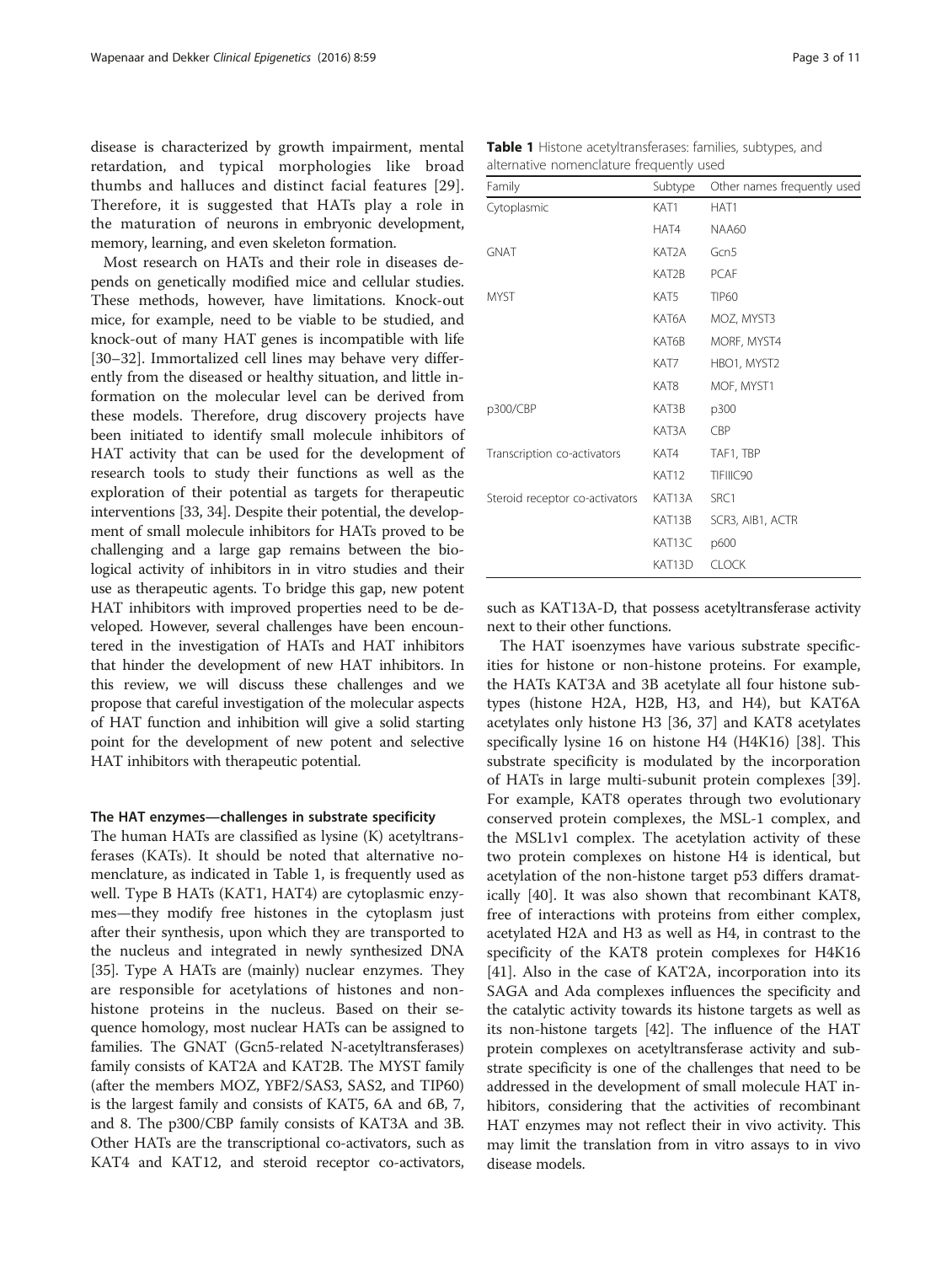disease is characterized by growth impairment, mental retardation, and typical morphologies like broad thumbs and halluces and distinct facial features [[29](#page-9-0)]. Therefore, it is suggested that HATs play a role in the maturation of neurons in embryonic development, memory, learning, and even skeleton formation.

Most research on HATs and their role in diseases depends on genetically modified mice and cellular studies. These methods, however, have limitations. Knock-out mice, for example, need to be viable to be studied, and knock-out of many HAT genes is incompatible with life [[30](#page-9-0)–[32](#page-9-0)]. Immortalized cell lines may behave very differently from the diseased or healthy situation, and little information on the molecular level can be derived from these models. Therefore, drug discovery projects have been initiated to identify small molecule inhibitors of HAT activity that can be used for the development of research tools to study their functions as well as the exploration of their potential as targets for therapeutic interventions [\[33, 34](#page-9-0)]. Despite their potential, the development of small molecule inhibitors for HATs proved to be challenging and a large gap remains between the biological activity of inhibitors in in vitro studies and their use as therapeutic agents. To bridge this gap, new potent HAT inhibitors with improved properties need to be developed. However, several challenges have been encountered in the investigation of HATs and HAT inhibitors that hinder the development of new HAT inhibitors. In this review, we will discuss these challenges and we propose that careful investigation of the molecular aspects of HAT function and inhibition will give a solid starting point for the development of new potent and selective HAT inhibitors with therapeutic potential.

# The HAT enzymes—challenges in substrate specificity

The human HATs are classified as lysine (K) acetyltransferases (KATs). It should be noted that alternative nomenclature, as indicated in Table 1, is frequently used as well. Type B HATs (KAT1, HAT4) are cytoplasmic enzymes—they modify free histones in the cytoplasm just after their synthesis, upon which they are transported to the nucleus and integrated in newly synthesized DNA [[35](#page-9-0)]. Type A HATs are (mainly) nuclear enzymes. They are responsible for acetylations of histones and nonhistone proteins in the nucleus. Based on their sequence homology, most nuclear HATs can be assigned to families. The GNAT (Gcn5-related N-acetyltransferases) family consists of KAT2A and KAT2B. The MYST family (after the members MOZ, YBF2/SAS3, SAS2, and TIP60) is the largest family and consists of KAT5, 6A and 6B, 7, and 8. The p300/CBP family consists of KAT3A and 3B. Other HATs are the transcriptional co-activators, such as KAT4 and KAT12, and steroid receptor co-activators,

Table 1 Histone acetyltransferases: families, subtypes, and alternative nomenclature frequently used

| Family                         | Subtype | Other names frequently used |
|--------------------------------|---------|-----------------------------|
| Cytoplasmic                    | KAT1    | HAT1                        |
|                                | HAT4    | <b>NAA60</b>                |
| <b>GNAT</b>                    | KAT2A   | Gcn5                        |
|                                | KAT2B   | <b>PCAF</b>                 |
| <b>MYST</b>                    | KAT5    | <b>TIP60</b>                |
|                                | KAT6A   | MOZ, MYST3                  |
|                                | KAT6B   | MORF, MYST4                 |
|                                | KAT7    | HBO1, MYST2                 |
|                                | KAT8    | MOF, MYST1                  |
| p300/CBP                       | KAT3B   | p300                        |
|                                | KAT3A   | CBP                         |
| Transcription co-activators    | KAT4    | TAF1, TBP                   |
|                                | KAT12   | TIFIIIC90                   |
| Steroid receptor co-activators | KAT13A  | SRC1                        |
|                                | KAT13B  | SCR3, AIB1, ACTR            |
|                                | KAT13C  | p600                        |
|                                | KAT13D  | <b>CLOCK</b>                |

such as KAT13A-D, that possess acetyltransferase activity next to their other functions.

The HAT isoenzymes have various substrate specificities for histone or non-histone proteins. For example, the HATs KAT3A and 3B acetylate all four histone subtypes (histone H2A, H2B, H3, and H4), but KAT6A acetylates only histone H3 [[36, 37](#page-9-0)] and KAT8 acetylates specifically lysine 16 on histone H4 (H4K16) [\[38](#page-9-0)]. This substrate specificity is modulated by the incorporation of HATs in large multi-subunit protein complexes [\[39](#page-9-0)]. For example, KAT8 operates through two evolutionary conserved protein complexes, the MSL-1 complex, and the MSL1v1 complex. The acetylation activity of these two protein complexes on histone H4 is identical, but acetylation of the non-histone target p53 differs dramatically [\[40](#page-9-0)]. It was also shown that recombinant KAT8, free of interactions with proteins from either complex, acetylated H2A and H3 as well as H4, in contrast to the specificity of the KAT8 protein complexes for H4K16 [[41\]](#page-9-0). Also in the case of KAT2A, incorporation into its SAGA and Ada complexes influences the specificity and the catalytic activity towards its histone targets as well as its non-histone targets [[42](#page-9-0)]. The influence of the HAT protein complexes on acetyltransferase activity and substrate specificity is one of the challenges that need to be addressed in the development of small molecule HAT inhibitors, considering that the activities of recombinant HAT enzymes may not reflect their in vivo activity. This may limit the translation from in vitro assays to in vivo disease models.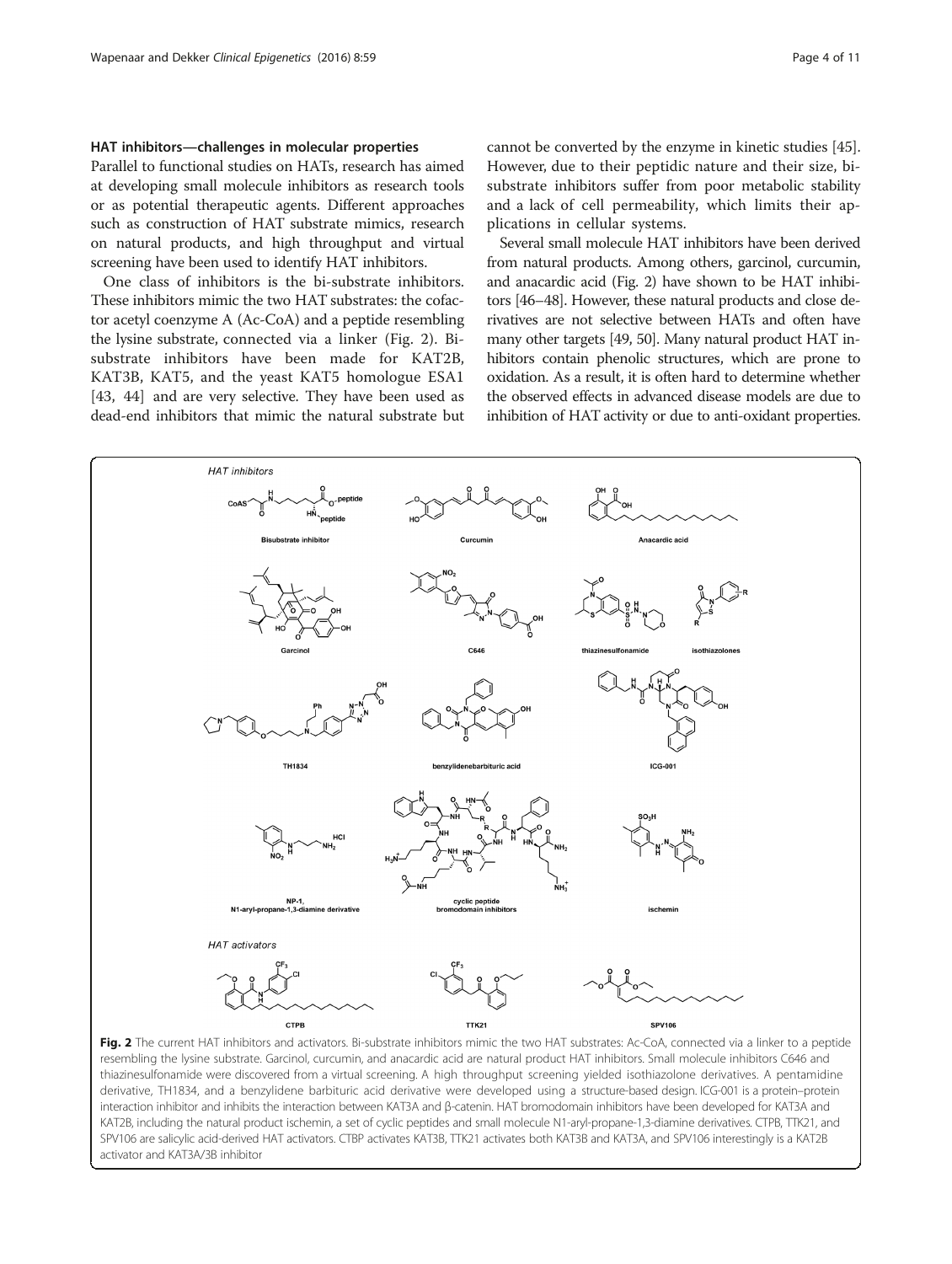# <span id="page-3-0"></span>HAT inhibitors—challenges in molecular properties

Parallel to functional studies on HATs, research has aimed at developing small molecule inhibitors as research tools or as potential therapeutic agents. Different approaches such as construction of HAT substrate mimics, research on natural products, and high throughput and virtual screening have been used to identify HAT inhibitors.

One class of inhibitors is the bi-substrate inhibitors. These inhibitors mimic the two HAT substrates: the cofactor acetyl coenzyme A (Ac-CoA) and a peptide resembling the lysine substrate, connected via a linker (Fig. 2). Bisubstrate inhibitors have been made for KAT2B, KAT3B, KAT5, and the yeast KAT5 homologue ESA1 [[43, 44](#page-9-0)] and are very selective. They have been used as dead-end inhibitors that mimic the natural substrate but

cannot be converted by the enzyme in kinetic studies [[45](#page-9-0)]. However, due to their peptidic nature and their size, bisubstrate inhibitors suffer from poor metabolic stability and a lack of cell permeability, which limits their applications in cellular systems.

Several small molecule HAT inhibitors have been derived from natural products. Among others, garcinol, curcumin, and anacardic acid (Fig. 2) have shown to be HAT inhibitors [\[46](#page-9-0)–[48\]](#page-9-0). However, these natural products and close derivatives are not selective between HATs and often have many other targets [\[49, 50\]](#page-9-0). Many natural product HAT inhibitors contain phenolic structures, which are prone to oxidation. As a result, it is often hard to determine whether the observed effects in advanced disease models are due to inhibition of HAT activity or due to anti-oxidant properties.



Fig. 2 The current HAT inhibitors and activators. Bi-substrate inhibitors mimic the two HAT substrates: Ac-CoA, connected via a linker to a peptide resembling the lysine substrate. Garcinol, curcumin, and anacardic acid are natural product HAT inhibitors. Small molecule inhibitors C646 and thiazinesulfonamide were discovered from a virtual screening. A high throughput screening yielded isothiazolone derivatives. A pentamidine derivative, TH1834, and a benzylidene barbituric acid derivative were developed using a structure-based design. ICG-001 is a protein–protein interaction inhibitor and inhibits the interaction between KAT3A and β-catenin. HAT bromodomain inhibitors have been developed for KAT3A and KAT2B, including the natural product ischemin, a set of cyclic peptides and small molecule N1-aryl-propane-1,3-diamine derivatives. CTPB, TTK21, and SPV106 are salicylic acid-derived HAT activators. CTBP activates KAT3B, TTK21 activates both KAT3B and KAT3A, and SPV106 interestingly is a KAT2B activator and KAT3A/3B inhibitor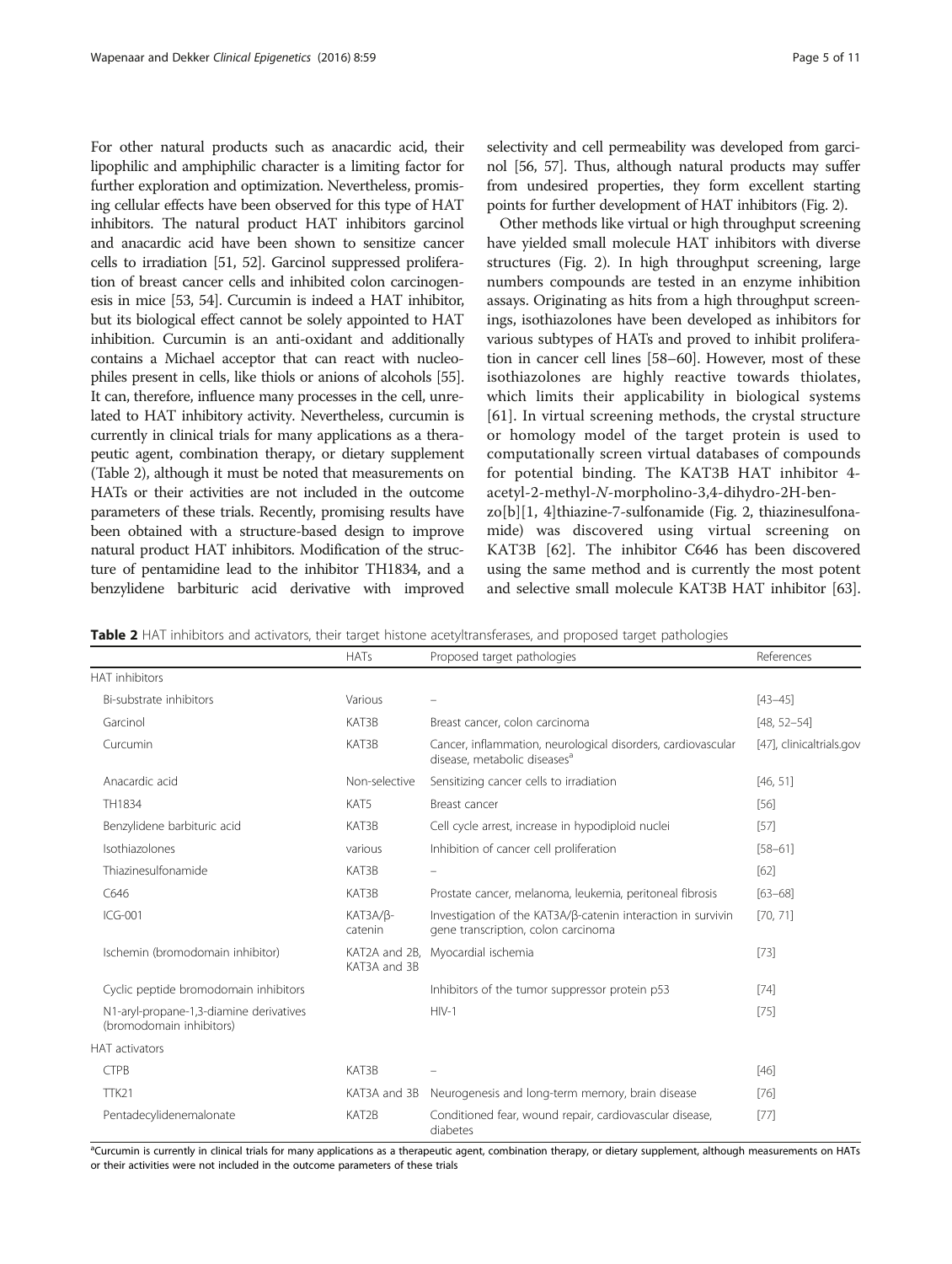<span id="page-4-0"></span>For other natural products such as anacardic acid, their lipophilic and amphiphilic character is a limiting factor for further exploration and optimization. Nevertheless, promising cellular effects have been observed for this type of HAT inhibitors. The natural product HAT inhibitors garcinol and anacardic acid have been shown to sensitize cancer cells to irradiation [\[51, 52](#page-9-0)]. Garcinol suppressed proliferation of breast cancer cells and inhibited colon carcinogenesis in mice [\[53](#page-9-0), [54](#page-9-0)]. Curcumin is indeed a HAT inhibitor, but its biological effect cannot be solely appointed to HAT inhibition. Curcumin is an anti-oxidant and additionally contains a Michael acceptor that can react with nucleophiles present in cells, like thiols or anions of alcohols [\[55](#page-9-0)]. It can, therefore, influence many processes in the cell, unrelated to HAT inhibitory activity. Nevertheless, curcumin is currently in clinical trials for many applications as a therapeutic agent, combination therapy, or dietary supplement (Table 2), although it must be noted that measurements on HATs or their activities are not included in the outcome parameters of these trials. Recently, promising results have been obtained with a structure-based design to improve natural product HAT inhibitors. Modification of the structure of pentamidine lead to the inhibitor TH1834, and a benzylidene barbituric acid derivative with improved selectivity and cell permeability was developed from garcinol [[56](#page-10-0), [57\]](#page-10-0). Thus, although natural products may suffer from undesired properties, they form excellent starting points for further development of HAT inhibitors (Fig. [2](#page-3-0)).

Other methods like virtual or high throughput screening have yielded small molecule HAT inhibitors with diverse structures (Fig. [2\)](#page-3-0). In high throughput screening, large numbers compounds are tested in an enzyme inhibition assays. Originating as hits from a high throughput screenings, isothiazolones have been developed as inhibitors for various subtypes of HATs and proved to inhibit proliferation in cancer cell lines [[58](#page-10-0)–[60](#page-10-0)]. However, most of these isothiazolones are highly reactive towards thiolates, which limits their applicability in biological systems [[61\]](#page-10-0). In virtual screening methods, the crystal structure or homology model of the target protein is used to computationally screen virtual databases of compounds for potential binding. The KAT3B HAT inhibitor 4 acetyl-2-methyl-N-morpholino-3,4-dihydro-2H-ben-

zo[b][1, 4]thiazine-7-sulfonamide (Fig. [2](#page-3-0), thiazinesulfonamide) was discovered using virtual screening on KAT3B [[62\]](#page-10-0). The inhibitor C646 has been discovered using the same method and is currently the most potent and selective small molecule KAT3B HAT inhibitor [[63](#page-10-0)].

Table 2 HAT inhibitors and activators, their target histone acetyltransferases, and proposed target pathologies

|                                                                     | <b>HATs</b>         | Proposed target pathologies                                                                              | References               |
|---------------------------------------------------------------------|---------------------|----------------------------------------------------------------------------------------------------------|--------------------------|
| <b>HAT</b> inhibitors                                               |                     |                                                                                                          |                          |
| Bi-substrate inhibitors                                             | Various             |                                                                                                          | $[43 - 45]$              |
| Garcinol                                                            | KAT3B               | Breast cancer, colon carcinoma                                                                           | $[48, 52 - 54]$          |
| Curcumin                                                            | KAT3B               | Cancer, inflammation, neurological disorders, cardiovascular<br>disease, metabolic diseases <sup>a</sup> | [47], clinicaltrials.gov |
| Anacardic acid                                                      | Non-selective       | Sensitizing cancer cells to irradiation                                                                  | [46, 51]                 |
| TH1834                                                              | KAT5                | Breast cancer                                                                                            | $[56]$                   |
| Benzylidene barbituric acid                                         | KAT3B               | Cell cycle arrest, increase in hypodiploid nuclei                                                        | [57]                     |
| Isothiazolones                                                      | various             | Inhibition of cancer cell proliferation                                                                  | $[58 - 61]$              |
| Thiazinesulfonamide                                                 | KAT3B               | $\overline{\phantom{m}}$                                                                                 | [62]                     |
| C646                                                                | KAT3B               | Prostate cancer, melanoma, leukemia, peritoneal fibrosis                                                 | $[63 - 68]$              |
| $ICG-001$                                                           | KAT3A/ß-<br>catenin | Investigation of the KAT3A/β-catenin interaction in survivin<br>gene transcription, colon carcinoma      | [70, 71]                 |
| Ischemin (bromodomain inhibitor)                                    | KAT3A and 3B        | KAT2A and 2B, Myocardial ischemia                                                                        | $[73]$                   |
| Cyclic peptide bromodomain inhibitors                               |                     | Inhibitors of the tumor suppressor protein p53                                                           | [74]                     |
| N1-aryl-propane-1,3-diamine derivatives<br>(bromodomain inhibitors) |                     | $HIV-1$                                                                                                  | $[75]$                   |
| <b>HAT</b> activators                                               |                     |                                                                                                          |                          |
| <b>CTPB</b>                                                         | KAT3B               |                                                                                                          | [46]                     |
| TTK <sub>21</sub>                                                   |                     | KAT3A and 3B Neurogenesis and long-term memory, brain disease                                            | $[76]$                   |
| Pentadecylidenemalonate                                             | KAT <sub>2</sub> B  | Conditioned fear, wound repair, cardiovascular disease,<br>diabetes                                      | $[77]$                   |

<sup>a</sup>Curcumin is currently in clinical trials for many applications as a therapeutic agent, combination therapy, or dietary supplement, although measurements on HATs or their activities were not included in the outcome parameters of these trials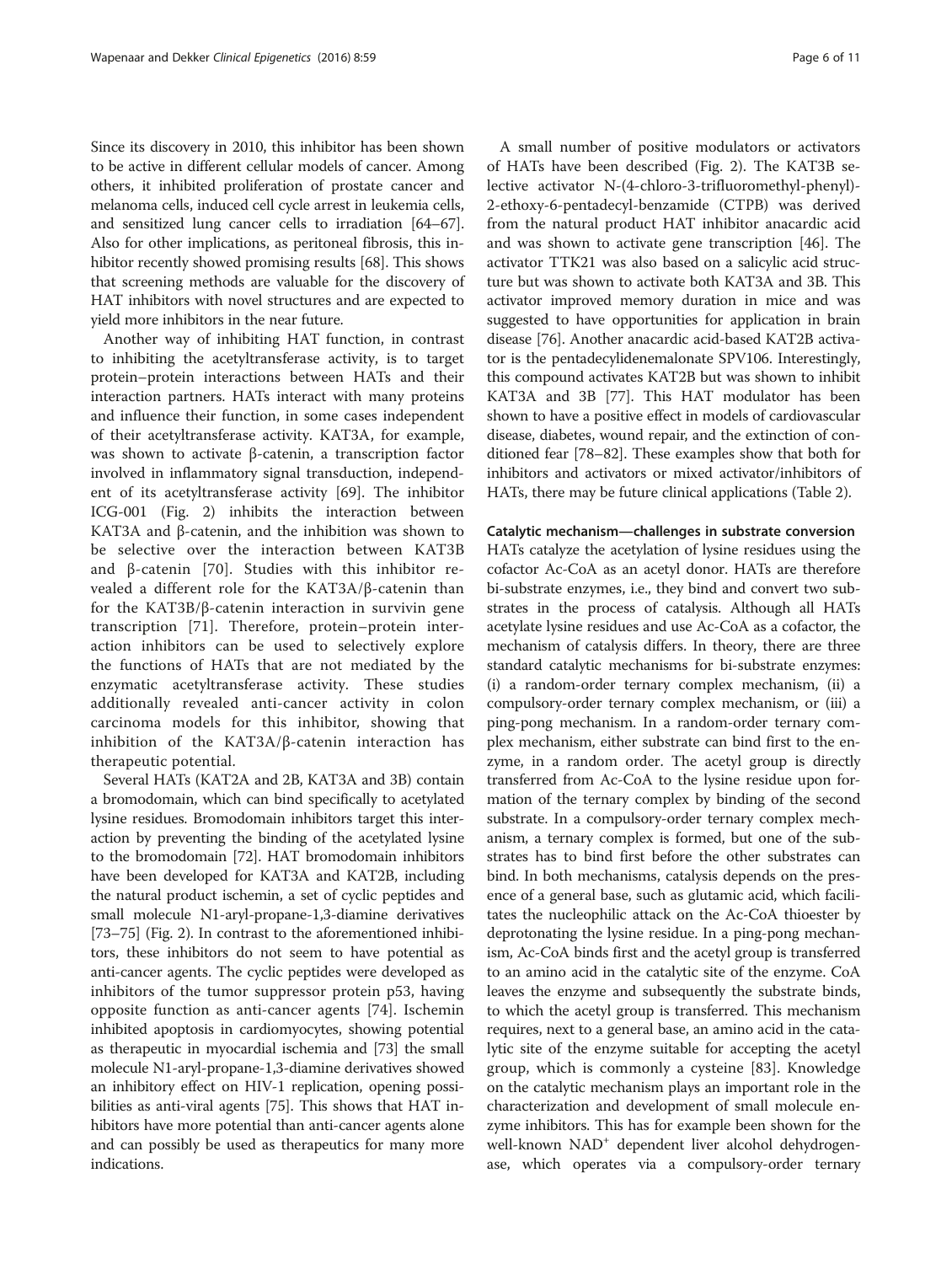Since its discovery in 2010, this inhibitor has been shown to be active in different cellular models of cancer. Among others, it inhibited proliferation of prostate cancer and melanoma cells, induced cell cycle arrest in leukemia cells, and sensitized lung cancer cells to irradiation [\[64](#page-10-0)–[67](#page-10-0)]. Also for other implications, as peritoneal fibrosis, this inhibitor recently showed promising results [\[68\]](#page-10-0). This shows that screening methods are valuable for the discovery of HAT inhibitors with novel structures and are expected to yield more inhibitors in the near future.

Another way of inhibiting HAT function, in contrast to inhibiting the acetyltransferase activity, is to target protein–protein interactions between HATs and their interaction partners. HATs interact with many proteins and influence their function, in some cases independent of their acetyltransferase activity. KAT3A, for example, was shown to activate β-catenin, a transcription factor involved in inflammatory signal transduction, independent of its acetyltransferase activity [\[69](#page-10-0)]. The inhibitor ICG-001 (Fig. [2\)](#page-3-0) inhibits the interaction between KAT3A and β-catenin, and the inhibition was shown to be selective over the interaction between KAT3B and β-catenin [[70](#page-10-0)]. Studies with this inhibitor revealed a different role for the KAT3A/β-catenin than for the KAT3B/β-catenin interaction in survivin gene transcription [[71\]](#page-10-0). Therefore, protein–protein interaction inhibitors can be used to selectively explore the functions of HATs that are not mediated by the enzymatic acetyltransferase activity. These studies additionally revealed anti-cancer activity in colon carcinoma models for this inhibitor, showing that inhibition of the KAT3A/β-catenin interaction has therapeutic potential.

Several HATs (KAT2A and 2B, KAT3A and 3B) contain a bromodomain, which can bind specifically to acetylated lysine residues. Bromodomain inhibitors target this interaction by preventing the binding of the acetylated lysine to the bromodomain [[72](#page-10-0)]. HAT bromodomain inhibitors have been developed for KAT3A and KAT2B, including the natural product ischemin, a set of cyclic peptides and small molecule N1-aryl-propane-1,3-diamine derivatives [[73](#page-10-0)–[75\]](#page-10-0) (Fig. [2](#page-3-0)). In contrast to the aforementioned inhibitors, these inhibitors do not seem to have potential as anti-cancer agents. The cyclic peptides were developed as inhibitors of the tumor suppressor protein p53, having opposite function as anti-cancer agents [[74\]](#page-10-0). Ischemin inhibited apoptosis in cardiomyocytes, showing potential as therapeutic in myocardial ischemia and [[73](#page-10-0)] the small molecule N1-aryl-propane-1,3-diamine derivatives showed an inhibitory effect on HIV-1 replication, opening possibilities as anti-viral agents [\[75\]](#page-10-0). This shows that HAT inhibitors have more potential than anti-cancer agents alone and can possibly be used as therapeutics for many more indications.

A small number of positive modulators or activators of HATs have been described (Fig. [2\)](#page-3-0). The KAT3B selective activator N-(4-chloro-3-trifluoromethyl-phenyl)- 2-ethoxy-6-pentadecyl-benzamide (CTPB) was derived from the natural product HAT inhibitor anacardic acid and was shown to activate gene transcription [\[46](#page-9-0)]. The activator TTK21 was also based on a salicylic acid structure but was shown to activate both KAT3A and 3B. This activator improved memory duration in mice and was suggested to have opportunities for application in brain disease [[76](#page-10-0)]. Another anacardic acid-based KAT2B activator is the pentadecylidenemalonate SPV106. Interestingly, this compound activates KAT2B but was shown to inhibit KAT3A and 3B [[77\]](#page-10-0). This HAT modulator has been shown to have a positive effect in models of cardiovascular disease, diabetes, wound repair, and the extinction of conditioned fear [\[78](#page-10-0)–[82](#page-10-0)]. These examples show that both for inhibitors and activators or mixed activator/inhibitors of HATs, there may be future clinical applications (Table [2\)](#page-4-0).

# Catalytic mechanism—challenges in substrate conversion

HATs catalyze the acetylation of lysine residues using the cofactor Ac-CoA as an acetyl donor. HATs are therefore bi-substrate enzymes, i.e., they bind and convert two substrates in the process of catalysis. Although all HATs acetylate lysine residues and use Ac-CoA as a cofactor, the mechanism of catalysis differs. In theory, there are three standard catalytic mechanisms for bi-substrate enzymes: (i) a random-order ternary complex mechanism, (ii) a compulsory-order ternary complex mechanism, or (iii) a ping-pong mechanism. In a random-order ternary complex mechanism, either substrate can bind first to the enzyme, in a random order. The acetyl group is directly transferred from Ac-CoA to the lysine residue upon formation of the ternary complex by binding of the second substrate. In a compulsory-order ternary complex mechanism, a ternary complex is formed, but one of the substrates has to bind first before the other substrates can bind. In both mechanisms, catalysis depends on the presence of a general base, such as glutamic acid, which facilitates the nucleophilic attack on the Ac-CoA thioester by deprotonating the lysine residue. In a ping-pong mechanism, Ac-CoA binds first and the acetyl group is transferred to an amino acid in the catalytic site of the enzyme. CoA leaves the enzyme and subsequently the substrate binds, to which the acetyl group is transferred. This mechanism requires, next to a general base, an amino acid in the catalytic site of the enzyme suitable for accepting the acetyl group, which is commonly a cysteine [[83\]](#page-10-0). Knowledge on the catalytic mechanism plays an important role in the characterization and development of small molecule enzyme inhibitors. This has for example been shown for the well-known NAD<sup>+</sup> dependent liver alcohol dehydrogenase, which operates via a compulsory-order ternary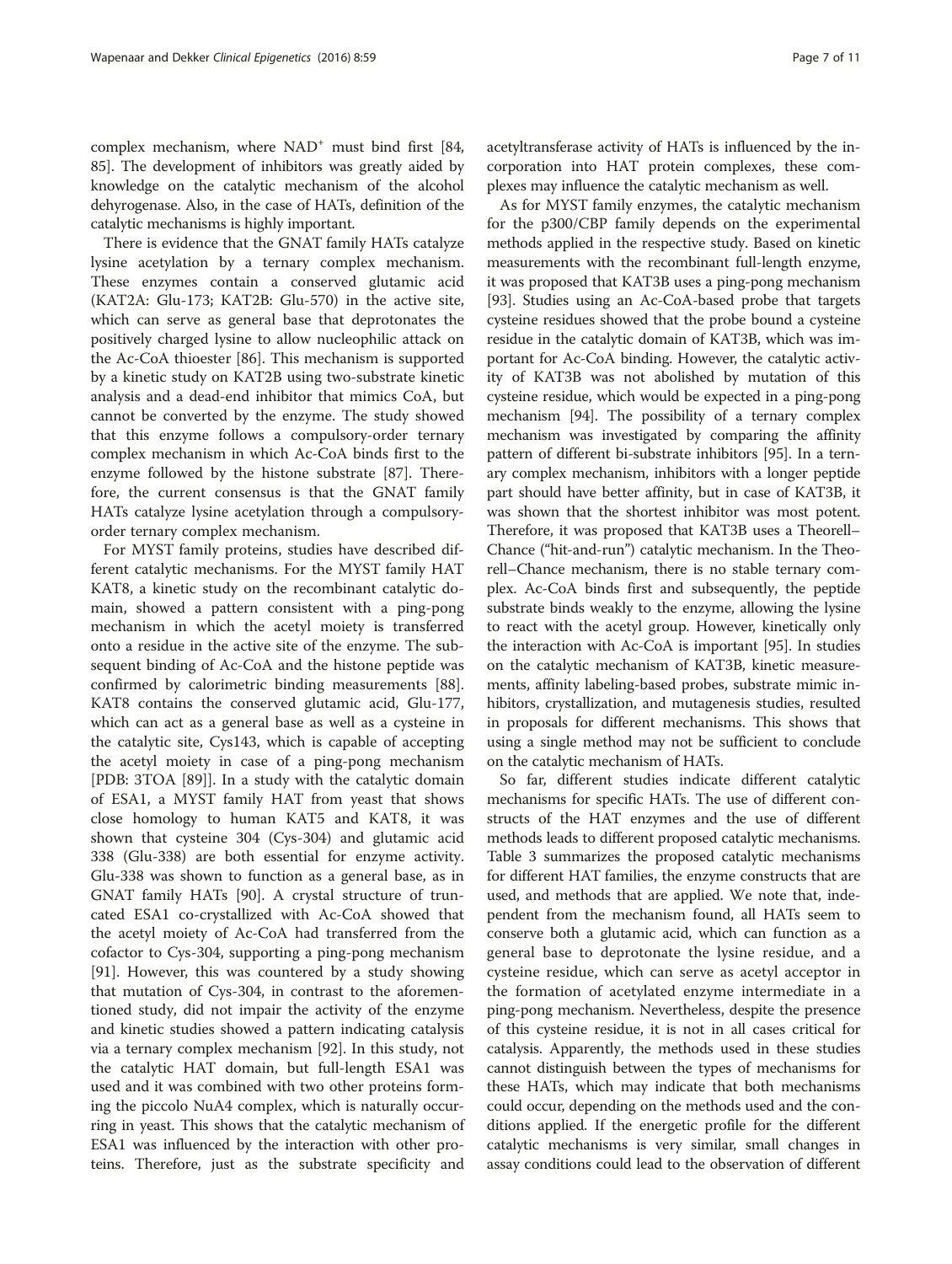complex mechanism, where  $NAD^+$  must bind first [[84](#page-10-0), [85](#page-10-0)]. The development of inhibitors was greatly aided by knowledge on the catalytic mechanism of the alcohol dehyrogenase. Also, in the case of HATs, definition of the catalytic mechanisms is highly important.

There is evidence that the GNAT family HATs catalyze lysine acetylation by a ternary complex mechanism. These enzymes contain a conserved glutamic acid (KAT2A: Glu-173; KAT2B: Glu-570) in the active site, which can serve as general base that deprotonates the positively charged lysine to allow nucleophilic attack on the Ac-CoA thioester [[86\]](#page-10-0). This mechanism is supported by a kinetic study on KAT2B using two-substrate kinetic analysis and a dead-end inhibitor that mimics CoA, but cannot be converted by the enzyme. The study showed that this enzyme follows a compulsory-order ternary complex mechanism in which Ac-CoA binds first to the enzyme followed by the histone substrate [[87\]](#page-10-0). Therefore, the current consensus is that the GNAT family HATs catalyze lysine acetylation through a compulsoryorder ternary complex mechanism.

For MYST family proteins, studies have described different catalytic mechanisms. For the MYST family HAT KAT8, a kinetic study on the recombinant catalytic domain, showed a pattern consistent with a ping-pong mechanism in which the acetyl moiety is transferred onto a residue in the active site of the enzyme. The subsequent binding of Ac-CoA and the histone peptide was confirmed by calorimetric binding measurements [\[88](#page-10-0)]. KAT8 contains the conserved glutamic acid, Glu-177, which can act as a general base as well as a cysteine in the catalytic site, Cys143, which is capable of accepting the acetyl moiety in case of a ping-pong mechanism [PDB: 3TOA [[89\]](#page-10-0)]. In a study with the catalytic domain of ESA1, a MYST family HAT from yeast that shows close homology to human KAT5 and KAT8, it was shown that cysteine 304 (Cys-304) and glutamic acid 338 (Glu-338) are both essential for enzyme activity. Glu-338 was shown to function as a general base, as in GNAT family HATs [[90](#page-10-0)]. A crystal structure of truncated ESA1 co-crystallized with Ac-CoA showed that the acetyl moiety of Ac-CoA had transferred from the cofactor to Cys-304, supporting a ping-pong mechanism [[91\]](#page-10-0). However, this was countered by a study showing that mutation of Cys-304, in contrast to the aforementioned study, did not impair the activity of the enzyme and kinetic studies showed a pattern indicating catalysis via a ternary complex mechanism [[92\]](#page-10-0). In this study, not the catalytic HAT domain, but full-length ESA1 was used and it was combined with two other proteins forming the piccolo NuA4 complex, which is naturally occurring in yeast. This shows that the catalytic mechanism of ESA1 was influenced by the interaction with other proteins. Therefore, just as the substrate specificity and

acetyltransferase activity of HATs is influenced by the incorporation into HAT protein complexes, these complexes may influence the catalytic mechanism as well.

As for MYST family enzymes, the catalytic mechanism for the p300/CBP family depends on the experimental methods applied in the respective study. Based on kinetic measurements with the recombinant full-length enzyme, it was proposed that KAT3B uses a ping-pong mechanism [[93](#page-10-0)]. Studies using an Ac-CoA-based probe that targets cysteine residues showed that the probe bound a cysteine residue in the catalytic domain of KAT3B, which was important for Ac-CoA binding. However, the catalytic activity of KAT3B was not abolished by mutation of this cysteine residue, which would be expected in a ping-pong mechanism [\[94](#page-10-0)]. The possibility of a ternary complex mechanism was investigated by comparing the affinity pattern of different bi-substrate inhibitors [[95](#page-10-0)]. In a ternary complex mechanism, inhibitors with a longer peptide part should have better affinity, but in case of KAT3B, it was shown that the shortest inhibitor was most potent. Therefore, it was proposed that KAT3B uses a Theorell– Chance ("hit-and-run") catalytic mechanism. In the Theorell–Chance mechanism, there is no stable ternary complex. Ac-CoA binds first and subsequently, the peptide substrate binds weakly to the enzyme, allowing the lysine to react with the acetyl group. However, kinetically only the interaction with Ac-CoA is important [[95](#page-10-0)]. In studies on the catalytic mechanism of KAT3B, kinetic measurements, affinity labeling-based probes, substrate mimic inhibitors, crystallization, and mutagenesis studies, resulted in proposals for different mechanisms. This shows that using a single method may not be sufficient to conclude on the catalytic mechanism of HATs.

So far, different studies indicate different catalytic mechanisms for specific HATs. The use of different constructs of the HAT enzymes and the use of different methods leads to different proposed catalytic mechanisms. Table [3](#page-7-0) summarizes the proposed catalytic mechanisms for different HAT families, the enzyme constructs that are used, and methods that are applied. We note that, independent from the mechanism found, all HATs seem to conserve both a glutamic acid, which can function as a general base to deprotonate the lysine residue, and a cysteine residue, which can serve as acetyl acceptor in the formation of acetylated enzyme intermediate in a ping-pong mechanism. Nevertheless, despite the presence of this cysteine residue, it is not in all cases critical for catalysis. Apparently, the methods used in these studies cannot distinguish between the types of mechanisms for these HATs, which may indicate that both mechanisms could occur, depending on the methods used and the conditions applied. If the energetic profile for the different catalytic mechanisms is very similar, small changes in assay conditions could lead to the observation of different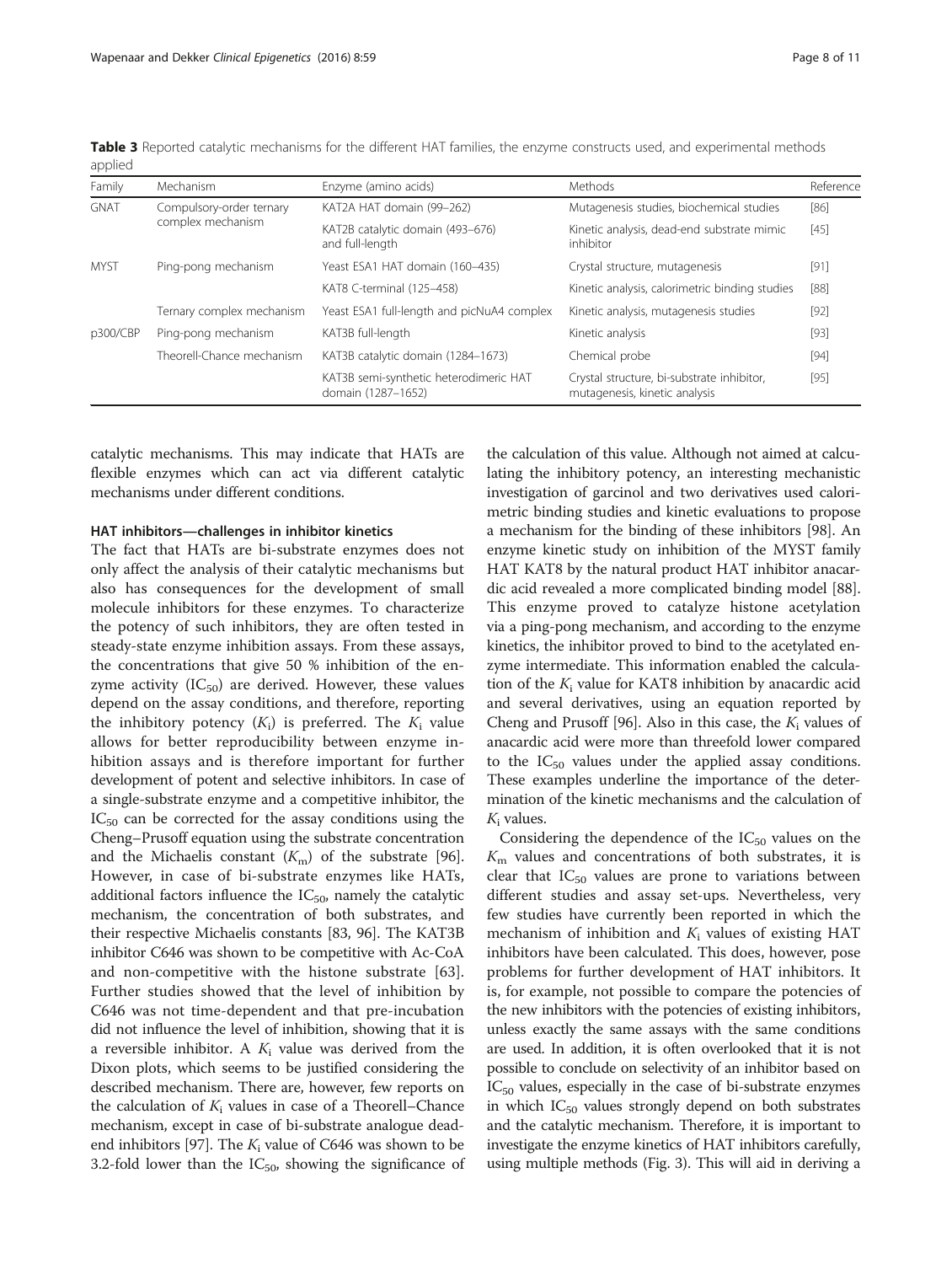<span id="page-7-0"></span>Table 3 Reported catalytic mechanisms for the different HAT families, the enzyme constructs used, and experimental methods applied

| Family      | Mechanism                                     | Enzyme (amino acids)                                         | <b>Methods</b>                                                              | Reference |
|-------------|-----------------------------------------------|--------------------------------------------------------------|-----------------------------------------------------------------------------|-----------|
| GNAT        | Compulsory-order ternary<br>complex mechanism | KAT2A HAT domain (99-262)                                    | Mutagenesis studies, biochemical studies                                    | $[86]$    |
|             |                                               | KAT2B catalytic domain (493-676)<br>and full-length          | Kinetic analysis, dead-end substrate mimic<br>inhibitor                     | $[45]$    |
| <b>MYST</b> | Ping-pong mechanism                           | Yeast ESA1 HAT domain (160-435)                              | Crystal structure, mutagenesis                                              | $[91]$    |
|             |                                               | KAT8 C-terminal (125-458)                                    | Kinetic analysis, calorimetric binding studies                              | $[88]$    |
|             | Ternary complex mechanism                     | Yeast ESA1 full-length and picNuA4 complex                   | Kinetic analysis, mutagenesis studies                                       | $[92]$    |
| p300/CBP    | Ping-pong mechanism                           | KAT3B full-length                                            | Kinetic analysis                                                            | $[93]$    |
|             | Theorell-Chance mechanism                     | KAT3B catalytic domain (1284-1673)                           | Chemical probe                                                              | $[94]$    |
|             |                                               | KAT3B semi-synthetic heterodimeric HAT<br>domain (1287-1652) | Crystal structure, bi-substrate inhibitor,<br>mutagenesis, kinetic analysis | $[95]$    |

catalytic mechanisms. This may indicate that HATs are flexible enzymes which can act via different catalytic mechanisms under different conditions.

#### HAT inhibitors—challenges in inhibitor kinetics

The fact that HATs are bi-substrate enzymes does not only affect the analysis of their catalytic mechanisms but also has consequences for the development of small molecule inhibitors for these enzymes. To characterize the potency of such inhibitors, they are often tested in steady-state enzyme inhibition assays. From these assays, the concentrations that give 50 % inhibition of the enzyme activity  $(IC_{50})$  are derived. However, these values depend on the assay conditions, and therefore, reporting the inhibitory potency  $(K_i)$  is preferred. The  $K_i$  value allows for better reproducibility between enzyme inhibition assays and is therefore important for further development of potent and selective inhibitors. In case of a single-substrate enzyme and a competitive inhibitor, the  $IC_{50}$  can be corrected for the assay conditions using the Cheng–Prusoff equation using the substrate concentration and the Michaelis constant  $(K<sub>m</sub>)$  of the substrate [[96](#page-10-0)]. However, in case of bi-substrate enzymes like HATs, additional factors influence the  $IC_{50}$ , namely the catalytic mechanism, the concentration of both substrates, and their respective Michaelis constants [\[83, 96\]](#page-10-0). The KAT3B inhibitor C646 was shown to be competitive with Ac-CoA and non-competitive with the histone substrate [\[63](#page-10-0)]. Further studies showed that the level of inhibition by C646 was not time-dependent and that pre-incubation did not influence the level of inhibition, showing that it is a reversible inhibitor. A  $K_i$  value was derived from the Dixon plots, which seems to be justified considering the described mechanism. There are, however, few reports on the calculation of  $K_i$  values in case of a Theorell–Chance mechanism, except in case of bi-substrate analogue dead-end inhibitors [\[97](#page-10-0)]. The  $K_i$  value of C646 was shown to be 3.2-fold lower than the  $IC_{50}$ , showing the significance of

the calculation of this value. Although not aimed at calculating the inhibitory potency, an interesting mechanistic investigation of garcinol and two derivatives used calorimetric binding studies and kinetic evaluations to propose a mechanism for the binding of these inhibitors [\[98\]](#page-10-0). An enzyme kinetic study on inhibition of the MYST family HAT KAT8 by the natural product HAT inhibitor anacardic acid revealed a more complicated binding model [[88](#page-10-0)]. This enzyme proved to catalyze histone acetylation via a ping-pong mechanism, and according to the enzyme kinetics, the inhibitor proved to bind to the acetylated enzyme intermediate. This information enabled the calculation of the  $K_i$  value for KAT8 inhibition by anacardic acid and several derivatives, using an equation reported by Cheng and Prusoff [[96](#page-10-0)]. Also in this case, the  $K_i$  values of anacardic acid were more than threefold lower compared to the  $IC_{50}$  values under the applied assay conditions. These examples underline the importance of the determination of the kinetic mechanisms and the calculation of  $K_i$  values.

Considering the dependence of the  $IC_{50}$  values on the  $K<sub>m</sub>$  values and concentrations of both substrates, it is clear that  $IC_{50}$  values are prone to variations between different studies and assay set-ups. Nevertheless, very few studies have currently been reported in which the mechanism of inhibition and  $K_i$  values of existing HAT inhibitors have been calculated. This does, however, pose problems for further development of HAT inhibitors. It is, for example, not possible to compare the potencies of the new inhibitors with the potencies of existing inhibitors, unless exactly the same assays with the same conditions are used. In addition, it is often overlooked that it is not possible to conclude on selectivity of an inhibitor based on  $IC_{50}$  values, especially in the case of bi-substrate enzymes in which  $IC_{50}$  values strongly depend on both substrates and the catalytic mechanism. Therefore, it is important to investigate the enzyme kinetics of HAT inhibitors carefully, using multiple methods (Fig. [3](#page-8-0)). This will aid in deriving a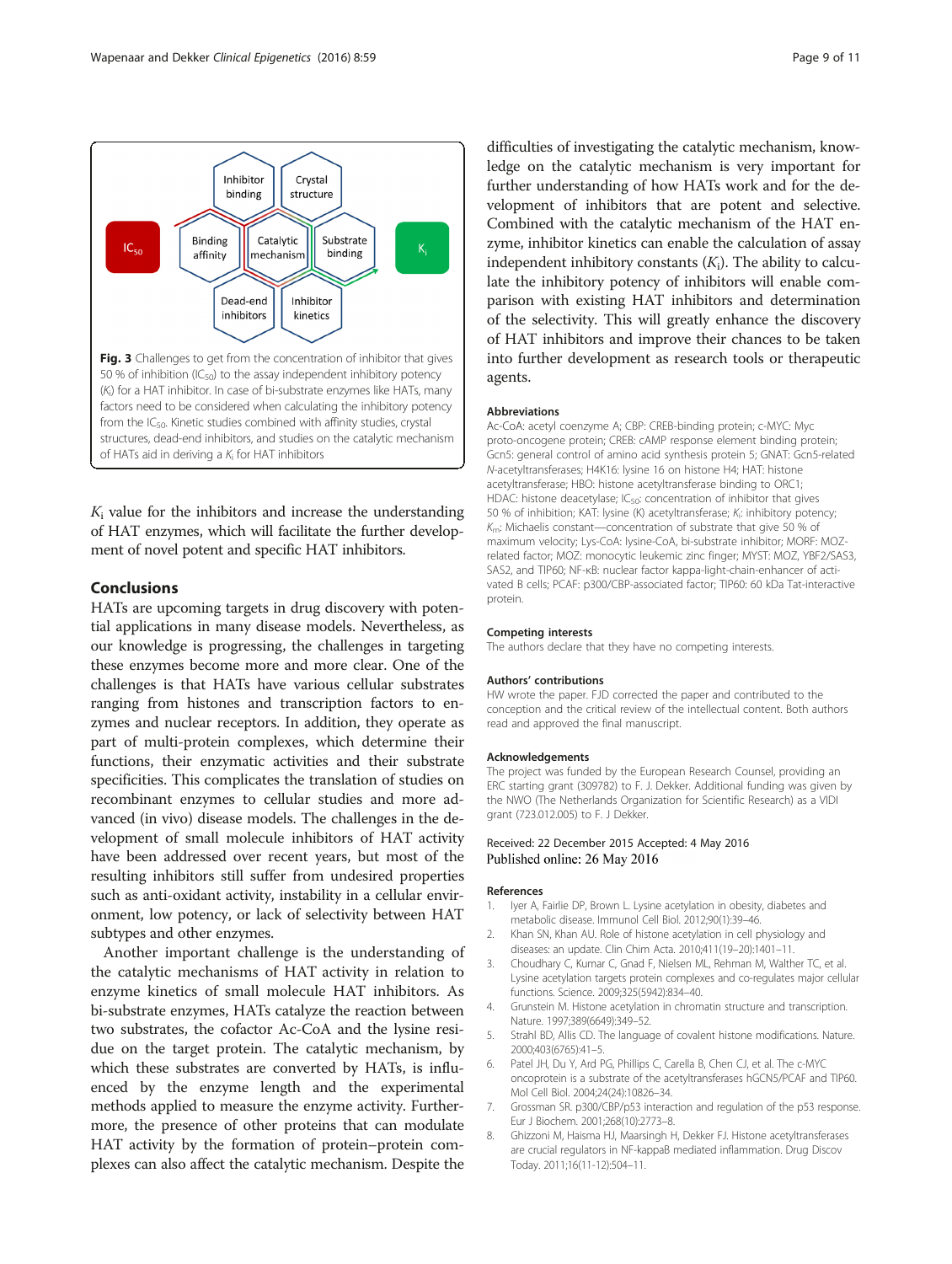<span id="page-8-0"></span>

 $K_i$  value for the inhibitors and increase the understanding of HAT enzymes, which will facilitate the further development of novel potent and specific HAT inhibitors.

# Conclusions

HATs are upcoming targets in drug discovery with potential applications in many disease models. Nevertheless, as our knowledge is progressing, the challenges in targeting these enzymes become more and more clear. One of the challenges is that HATs have various cellular substrates ranging from histones and transcription factors to enzymes and nuclear receptors. In addition, they operate as part of multi-protein complexes, which determine their functions, their enzymatic activities and their substrate specificities. This complicates the translation of studies on recombinant enzymes to cellular studies and more advanced (in vivo) disease models. The challenges in the development of small molecule inhibitors of HAT activity have been addressed over recent years, but most of the resulting inhibitors still suffer from undesired properties such as anti-oxidant activity, instability in a cellular environment, low potency, or lack of selectivity between HAT subtypes and other enzymes.

Another important challenge is the understanding of the catalytic mechanisms of HAT activity in relation to enzyme kinetics of small molecule HAT inhibitors. As bi-substrate enzymes, HATs catalyze the reaction between two substrates, the cofactor Ac-CoA and the lysine residue on the target protein. The catalytic mechanism, by which these substrates are converted by HATs, is influenced by the enzyme length and the experimental methods applied to measure the enzyme activity. Furthermore, the presence of other proteins that can modulate HAT activity by the formation of protein–protein complexes can also affect the catalytic mechanism. Despite the

difficulties of investigating the catalytic mechanism, knowledge on the catalytic mechanism is very important for further understanding of how HATs work and for the development of inhibitors that are potent and selective. Combined with the catalytic mechanism of the HAT enzyme, inhibitor kinetics can enable the calculation of assay independent inhibitory constants  $(K_i)$ . The ability to calculate the inhibitory potency of inhibitors will enable comparison with existing HAT inhibitors and determination of the selectivity. This will greatly enhance the discovery of HAT inhibitors and improve their chances to be taken into further development as research tools or therapeutic agents.

#### Abbreviations

Ac-CoA: acetyl coenzyme A; CBP: CREB-binding protein; c-MYC: Myc proto-oncogene protein; CREB: cAMP response element binding protein; Gcn5: general control of amino acid synthesis protein 5; GNAT: Gcn5-related N-acetyltransferases; H4K16: lysine 16 on histone H4; HAT: histone acetyltransferase; HBO: histone acetyltransferase binding to ORC1; HDAC: histone deacetylase;  $IC_{50}$ : concentration of inhibitor that gives 50 % of inhibition; KAT: lysine (K) acetyltransferase; K<sub>i</sub>: inhibitory potency,  $K<sub>m</sub>$ : Michaelis constant—concentration of substrate that give 50 % of maximum velocity; Lys-CoA: lysine-CoA, bi-substrate inhibitor; MORF: MOZrelated factor; MOZ: monocytic leukemic zinc finger; MYST: MOZ, YBF2/SAS3, SAS2, and TIP60; NF-κB: nuclear factor kappa-light-chain-enhancer of activated B cells; PCAF: p300/CBP-associated factor; TIP60: 60 kDa Tat-interactive protein.

#### Competing interests

The authors declare that they have no competing interests.

#### Authors' contributions

HW wrote the paper. FJD corrected the paper and contributed to the conception and the critical review of the intellectual content. Both authors read and approved the final manuscript.

#### Acknowledgements

The project was funded by the European Research Counsel, providing an ERC starting grant (309782) to F. J. Dekker. Additional funding was given by the NWO (The Netherlands Organization for Scientific Research) as a VIDI grant (723.012.005) to F. J Dekker.

#### Received: 22 December 2015 Accepted: 4 May 2016 Published online: 26 May 2016

#### References

- 1. Iyer A, Fairlie DP, Brown L. Lysine acetylation in obesity, diabetes and metabolic disease. Immunol Cell Biol. 2012;90(1):39–46.
- Khan SN, Khan AU. Role of histone acetylation in cell physiology and diseases: an update. Clin Chim Acta. 2010;411(19–20):1401–11.
- 3. Choudhary C, Kumar C, Gnad F, Nielsen ML, Rehman M, Walther TC, et al. Lysine acetylation targets protein complexes and co-regulates major cellular functions. Science. 2009;325(5942):834–40.
- 4. Grunstein M. Histone acetylation in chromatin structure and transcription. Nature. 1997;389(6649):349–52.
- 5. Strahl BD, Allis CD. The language of covalent histone modifications. Nature. 2000;403(6765):41–5.
- 6. Patel JH, Du Y, Ard PG, Phillips C, Carella B, Chen CJ, et al. The c-MYC oncoprotein is a substrate of the acetyltransferases hGCN5/PCAF and TIP60. Mol Cell Biol. 2004;24(24):10826–34.
- 7. Grossman SR. p300/CBP/p53 interaction and regulation of the p53 response. Eur J Biochem. 2001;268(10):2773–8.
- 8. Ghizzoni M, Haisma HJ, Maarsingh H, Dekker FJ. Histone acetyltransferases are crucial regulators in NF-kappaB mediated inflammation. Drug Discov Today. 2011;16(11-12):504–11.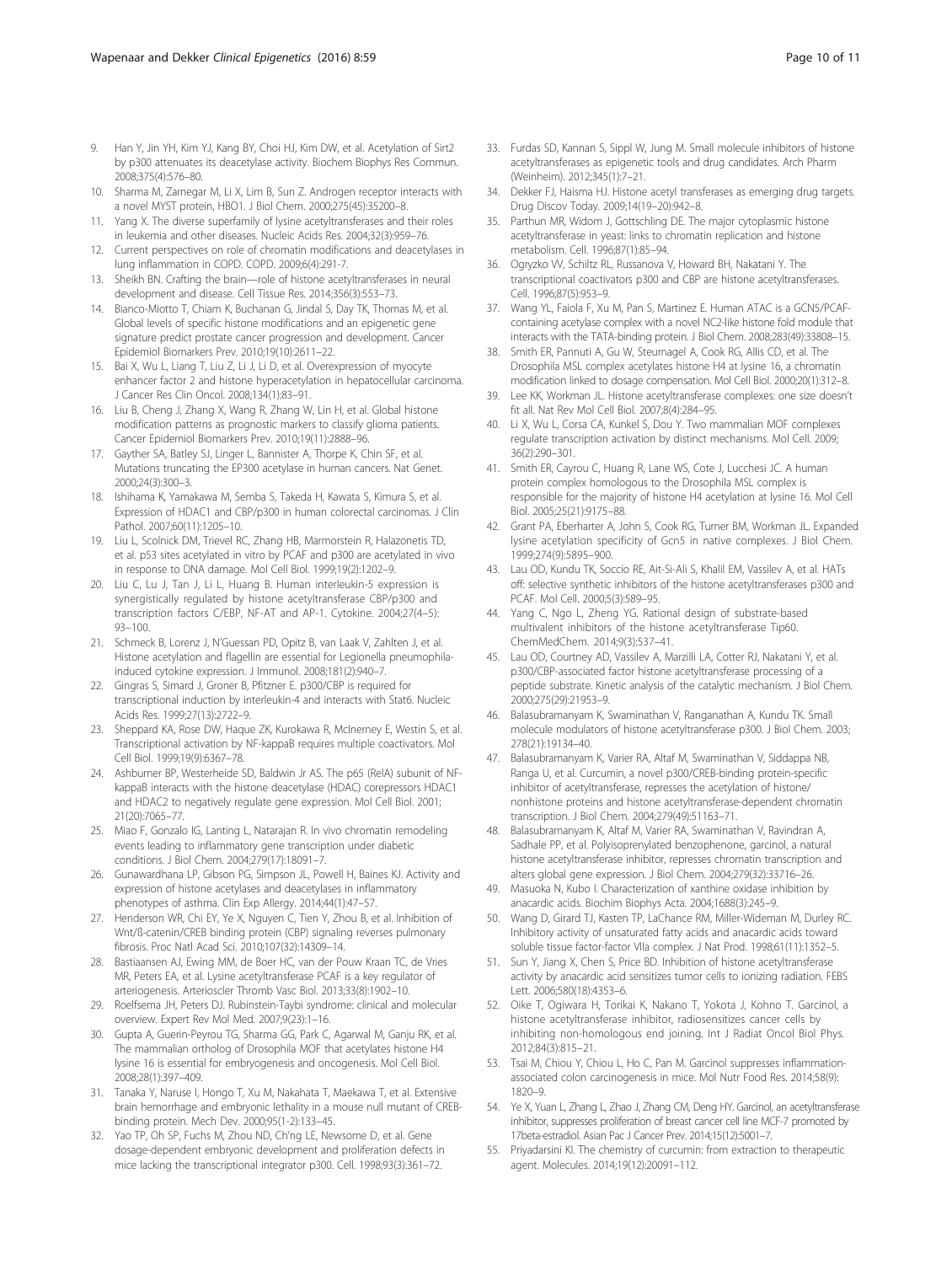- <span id="page-9-0"></span>9. Han Y, Jin YH, Kim YJ, Kang BY, Choi HJ, Kim DW, et al. Acetylation of Sirt2 by p300 attenuates its deacetylase activity. Biochem Biophys Res Commun. 2008;375(4):576–80.
- 10. Sharma M, Zarnegar M, Li X, Lim B, Sun Z. Androgen receptor interacts with a novel MYST protein, HBO1. J Biol Chem. 2000;275(45):35200–8.
- 11. Yang X. The diverse superfamily of lysine acetyltransferases and their roles in leukemia and other diseases. Nucleic Acids Res. 2004;32(3):959–76.
- 12. Current perspectives on role of chromatin modifications and deacetylases in lung inflammation in COPD. COPD. 2009;6(4):291-7.
- 13. Sheikh BN. Crafting the brain—role of histone acetyltransferases in neural development and disease. Cell Tissue Res. 2014;356(3):553–73.
- 14. Bianco-Miotto T, Chiam K, Buchanan G, Jindal S, Day TK, Thomas M, et al. Global levels of specific histone modifications and an epigenetic gene signature predict prostate cancer progression and development. Cancer Epidemiol Biomarkers Prev. 2010;19(10):2611–22.
- 15. Bai X, Wu L, Liang T, Liu Z, Li J, Li D, et al. Overexpression of myocyte enhancer factor 2 and histone hyperacetylation in hepatocellular carcinoma. J Cancer Res Clin Oncol. 2008;134(1):83–91.
- 16. Liu B, Cheng J, Zhang X, Wang R, Zhang W, Lin H, et al. Global histone modification patterns as prognostic markers to classify glioma patients. Cancer Epidemiol Biomarkers Prev. 2010;19(11):2888–96.
- 17. Gayther SA, Batley SJ, Linger L, Bannister A, Thorpe K, Chin SF, et al. Mutations truncating the EP300 acetylase in human cancers. Nat Genet. 2000;24(3):300–3.
- 18. Ishihama K, Yamakawa M, Semba S, Takeda H, Kawata S, Kimura S, et al. Expression of HDAC1 and CBP/p300 in human colorectal carcinomas. J Clin Pathol. 2007;60(11):1205–10.
- 19. Liu L, Scolnick DM, Trievel RC, Zhang HB, Marmorstein R, Halazonetis TD, et al. p53 sites acetylated in vitro by PCAF and p300 are acetylated in vivo in response to DNA damage. Mol Cell Biol. 1999;19(2):1202–9.
- 20. Liu C, Lu J, Tan J, Li L, Huang B. Human interleukin-5 expression is synergistically regulated by histone acetyltransferase CBP/p300 and transcription factors C/EBP, NF-AT and AP-1. Cytokine. 2004;27(4–5): 93–100.
- 21. Schmeck B, Lorenz J, N'Guessan PD, Opitz B, van Laak V, Zahlten J, et al. Histone acetylation and flagellin are essential for Legionella pneumophilainduced cytokine expression. J Immunol. 2008;181(2):940–7.
- 22. Gingras S, Simard J, Groner B, Pfitzner E. p300/CBP is required for transcriptional induction by interleukin-4 and interacts with Stat6. Nucleic Acids Res. 1999;27(13):2722–9.
- 23. Sheppard KA, Rose DW, Haque ZK, Kurokawa R, McInerney E, Westin S, et al. Transcriptional activation by NF-kappaB requires multiple coactivators. Mol Cell Biol. 1999;19(9):6367–78.
- 24. Ashburner BP, Westerheide SD, Baldwin Jr AS. The p65 (RelA) subunit of NFkappaB interacts with the histone deacetylase (HDAC) corepressors HDAC1 and HDAC2 to negatively regulate gene expression. Mol Cell Biol. 2001; 21(20):7065–77.
- 25. Miao F, Gonzalo IG, Lanting L, Natarajan R. In vivo chromatin remodeling events leading to inflammatory gene transcription under diabetic conditions. J Biol Chem. 2004;279(17):18091–7.
- 26. Gunawardhana LP, Gibson PG, Simpson JL, Powell H, Baines KJ. Activity and expression of histone acetylases and deacetylases in inflammatory phenotypes of asthma. Clin Exp Allergy. 2014;44(1):47–57.
- 27. Henderson WR, Chi EY, Ye X, Nguyen C, Tien Y, Zhou B, et al. Inhibition of Wnt/ß-catenin/CREB binding protein (CBP) signaling reverses pulmonary fibrosis. Proc Natl Acad Sci. 2010;107(32):14309–14.
- 28. Bastiaansen AJ, Ewing MM, de Boer HC, van der Pouw Kraan TC, de Vries MR, Peters EA, et al. Lysine acetyltransferase PCAF is a key regulator of arteriogenesis. Arterioscler Thromb Vasc Biol. 2013;33(8):1902–10.
- 29. Roelfsema JH, Peters DJ. Rubinstein-Taybi syndrome: clinical and molecular overview. Expert Rev Mol Med. 2007;9(23):1–16.
- 30. Gupta A, Guerin-Peyrou TG, Sharma GG, Park C, Agarwal M, Ganju RK, et al. The mammalian ortholog of Drosophila MOF that acetylates histone H4 lysine 16 is essential for embryogenesis and oncogenesis. Mol Cell Biol. 2008;28(1):397–409.
- 31. Tanaka Y, Naruse I, Hongo T, Xu M, Nakahata T, Maekawa T, et al. Extensive brain hemorrhage and embryonic lethality in a mouse null mutant of CREBbinding protein. Mech Dev. 2000;95(1-2):133–45.
- 32. Yao TP, Oh SP, Fuchs M, Zhou ND, Ch'ng LE, Newsome D, et al. Gene dosage-dependent embryonic development and proliferation defects in mice lacking the transcriptional integrator p300. Cell. 1998;93(3):361–72.
- 33. Furdas SD, Kannan S, Sippl W, Jung M. Small molecule inhibitors of histone acetyltransferases as epigenetic tools and drug candidates. Arch Pharm (Weinheim). 2012;345(1):7–21.
- 34. Dekker FJ, Haisma HJ. Histone acetyl transferases as emerging drug targets. Drug Discov Today. 2009;14(19–20):942–8.
- 35. Parthun MR, Widom J, Gottschling DE. The major cytoplasmic histone acetyltransferase in yeast: links to chromatin replication and histone metabolism. Cell. 1996;87(1):85–94.
- 36. Ogryzko VV, Schiltz RL, Russanova V, Howard BH, Nakatani Y. The transcriptional coactivators p300 and CBP are histone acetyltransferases. Cell. 1996;87(5):953–9.
- 37. Wang YL, Faiola F, Xu M, Pan S, Martinez E. Human ATAC is a GCN5/PCAFcontaining acetylase complex with a novel NC2-like histone fold module that interacts with the TATA-binding protein. J Biol Chem. 2008;283(49):33808–15.
- 38. Smith ER, Pannuti A, Gu W, Steurnagel A, Cook RG, Allis CD, et al. The Drosophila MSL complex acetylates histone H4 at lysine 16, a chromatin modification linked to dosage compensation. Mol Cell Biol. 2000;20(1):312–8.
- 39. Lee KK, Workman JL. Histone acetyltransferase complexes: one size doesn't fit all. Nat Rev Mol Cell Biol. 2007;8(4):284–95.
- 40. Li X, Wu L, Corsa CA, Kunkel S, Dou Y. Two mammalian MOF complexes regulate transcription activation by distinct mechanisms. Mol Cell. 2009; 36(2):290–301.
- 41. Smith ER, Cayrou C, Huang R, Lane WS, Cote J, Lucchesi JC. A human protein complex homologous to the Drosophila MSL complex is responsible for the majority of histone H4 acetylation at lysine 16. Mol Cell Biol. 2005;25(21):9175–88.
- 42. Grant PA, Eberharter A, John S, Cook RG, Turner BM, Workman JL. Expanded lysine acetylation specificity of Gcn5 in native complexes. J Biol Chem. 1999;274(9):5895–900.
- 43. Lau OD, Kundu TK, Soccio RE, Ait-Si-Ali S, Khalil EM, Vassilev A, et al. HATs off: selective synthetic inhibitors of the histone acetyltransferases p300 and PCAF. Mol Cell. 2000;5(3):589–95.
- 44. Yang C, Ngo L, Zheng YG. Rational design of substrate-based multivalent inhibitors of the histone acetyltransferase Tip60. ChemMedChem. 2014;9(3):537–41.
- 45. Lau OD, Courtney AD, Vassilev A, Marzilli LA, Cotter RJ, Nakatani Y, et al. p300/CBP-associated factor histone acetyltransferase processing of a peptide substrate. Kinetic analysis of the catalytic mechanism. J Biol Chem. 2000;275(29):21953–9.
- 46. Balasubramanyam K, Swaminathan V, Ranganathan A, Kundu TK. Small molecule modulators of histone acetyltransferase p300. J Biol Chem. 2003; 278(21):19134–40.
- 47. Balasubramanyam K, Varier RA, Altaf M, Swaminathan V, Siddappa NB, Ranga U, et al. Curcumin, a novel p300/CREB-binding protein-specific inhibitor of acetyltransferase, represses the acetylation of histone/ nonhistone proteins and histone acetyltransferase-dependent chromatin transcription. J Biol Chem. 2004;279(49):51163–71.
- 48. Balasubramanyam K, Altaf M, Varier RA, Swaminathan V, Ravindran A, Sadhale PP, et al. Polyisoprenylated benzophenone, garcinol, a natural histone acetyltransferase inhibitor, represses chromatin transcription and alters global gene expression. J Biol Chem. 2004;279(32):33716–26.
- 49. Masuoka N, Kubo I. Characterization of xanthine oxidase inhibition by anacardic acids. Biochim Biophys Acta. 2004;1688(3):245–9.
- 50. Wang D, Girard TJ, Kasten TP, LaChance RM, Miller-Wideman M, Durley RC. Inhibitory activity of unsaturated fatty acids and anacardic acids toward soluble tissue factor-factor VIIa complex. J Nat Prod. 1998;61(11):1352–5.
- 51. Sun Y, Jiang X, Chen S, Price BD. Inhibition of histone acetyltransferase activity by anacardic acid sensitizes tumor cells to ionizing radiation. FEBS Lett. 2006;580(18):4353–6.
- 52. Oike T, Ogiwara H, Torikai K, Nakano T, Yokota J, Kohno T. Garcinol, a histone acetyltransferase inhibitor, radiosensitizes cancer cells by inhibiting non-homologous end joining. Int J Radiat Oncol Biol Phys. 2012;84(3):815–21.
- 53. Tsai M, Chiou Y, Chiou L, Ho C, Pan M. Garcinol suppresses inflammationassociated colon carcinogenesis in mice. Mol Nutr Food Res. 2014;58(9): 1820–9.
- 54. Ye X, Yuan L, Zhang L, Zhao J, Zhang CM, Deng HY. Garcinol, an acetyltransferase inhibitor, suppresses proliferation of breast cancer cell line MCF-7 promoted by 17beta-estradiol. Asian Pac J Cancer Prev. 2014;15(12):5001–7.
- 55. Priyadarsini KI. The chemistry of curcumin: from extraction to therapeutic agent. Molecules. 2014;19(12):20091–112.